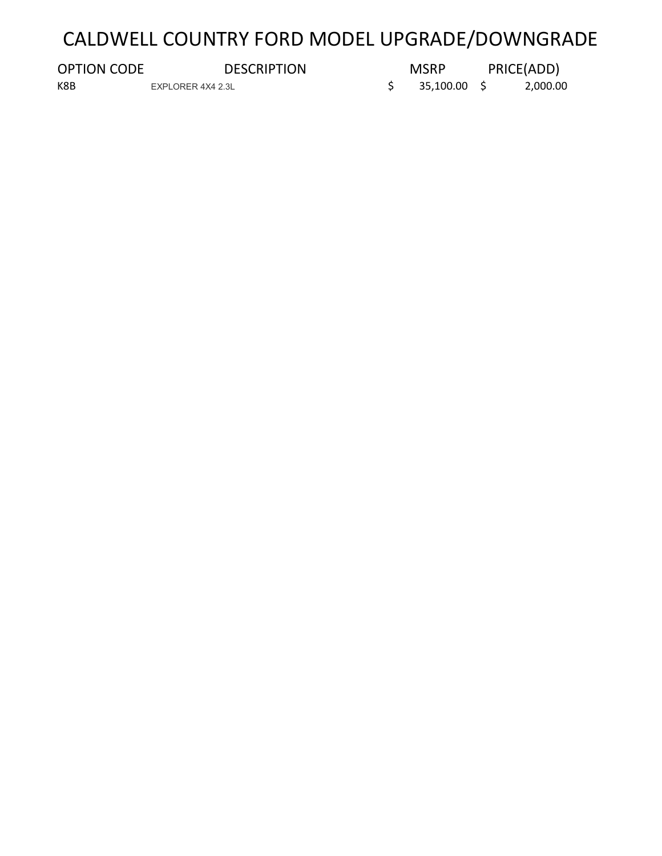# CALDWELL COUNTRY FORD MODEL UPGRADE/DOWNGRADE

| <b>OPTION CODE</b> | <b>DESCRIPTION</b> | <b>MSRP</b>  | PRICE(ADD) |
|--------------------|--------------------|--------------|------------|
| K8B                | EXPLORER 4X4 2.3L  | 35,100.00 \$ | 2,000.00   |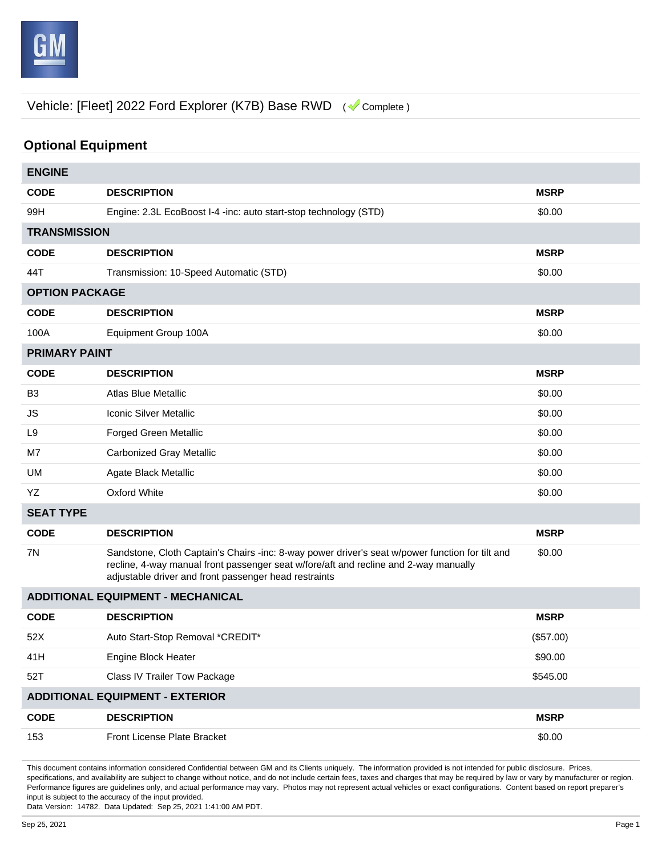

## Vehicle: [Fleet] 2022 Ford Explorer (K7B) Base RWD ( Complete )

## **Optional Equipment**

| <b>ENGINE</b>                            |                                                                                                                                                                                                                                                  |             |  |  |  |
|------------------------------------------|--------------------------------------------------------------------------------------------------------------------------------------------------------------------------------------------------------------------------------------------------|-------------|--|--|--|
| <b>CODE</b>                              | <b>DESCRIPTION</b>                                                                                                                                                                                                                               | <b>MSRP</b> |  |  |  |
| 99H                                      | Engine: 2.3L EcoBoost I-4 -inc: auto start-stop technology (STD)                                                                                                                                                                                 | \$0.00      |  |  |  |
|                                          | <b>TRANSMISSION</b>                                                                                                                                                                                                                              |             |  |  |  |
| <b>CODE</b>                              | <b>DESCRIPTION</b>                                                                                                                                                                                                                               | <b>MSRP</b> |  |  |  |
| 44T                                      | Transmission: 10-Speed Automatic (STD)                                                                                                                                                                                                           | \$0.00      |  |  |  |
| <b>OPTION PACKAGE</b>                    |                                                                                                                                                                                                                                                  |             |  |  |  |
| <b>CODE</b>                              | <b>DESCRIPTION</b>                                                                                                                                                                                                                               | <b>MSRP</b> |  |  |  |
| 100A                                     | Equipment Group 100A                                                                                                                                                                                                                             | \$0.00      |  |  |  |
| <b>PRIMARY PAINT</b>                     |                                                                                                                                                                                                                                                  |             |  |  |  |
| <b>CODE</b>                              | <b>DESCRIPTION</b>                                                                                                                                                                                                                               | <b>MSRP</b> |  |  |  |
| B <sub>3</sub>                           | <b>Atlas Blue Metallic</b>                                                                                                                                                                                                                       | \$0.00      |  |  |  |
| JS.                                      | Iconic Silver Metallic                                                                                                                                                                                                                           | \$0.00      |  |  |  |
| L9                                       | Forged Green Metallic                                                                                                                                                                                                                            | \$0.00      |  |  |  |
| M7                                       | <b>Carbonized Gray Metallic</b>                                                                                                                                                                                                                  | \$0.00      |  |  |  |
| <b>UM</b>                                | Agate Black Metallic                                                                                                                                                                                                                             | \$0.00      |  |  |  |
| YZ.                                      | <b>Oxford White</b>                                                                                                                                                                                                                              | \$0.00      |  |  |  |
| <b>SEAT TYPE</b>                         |                                                                                                                                                                                                                                                  |             |  |  |  |
| <b>CODE</b>                              | <b>DESCRIPTION</b>                                                                                                                                                                                                                               | <b>MSRP</b> |  |  |  |
| 7N                                       | Sandstone, Cloth Captain's Chairs -inc: 8-way power driver's seat w/power function for tilt and<br>recline, 4-way manual front passenger seat w/fore/aft and recline and 2-way manually<br>adjustable driver and front passenger head restraints | \$0.00      |  |  |  |
| <b>ADDITIONAL EQUIPMENT - MECHANICAL</b> |                                                                                                                                                                                                                                                  |             |  |  |  |
| <b>CODE</b>                              | <b>DESCRIPTION</b>                                                                                                                                                                                                                               | <b>MSRP</b> |  |  |  |
| 52X                                      | Auto Start-Stop Removal *CREDIT*                                                                                                                                                                                                                 | (\$57.00)   |  |  |  |
| 41H                                      | Engine Block Heater                                                                                                                                                                                                                              | \$90.00     |  |  |  |
| 52T                                      | Class IV Trailer Tow Package                                                                                                                                                                                                                     | \$545.00    |  |  |  |
| <b>ADDITIONAL EQUIPMENT - EXTERIOR</b>   |                                                                                                                                                                                                                                                  |             |  |  |  |
| <b>CODE</b>                              | <b>DESCRIPTION</b>                                                                                                                                                                                                                               | <b>MSRP</b> |  |  |  |
| 153                                      | Front License Plate Bracket                                                                                                                                                                                                                      | \$0.00      |  |  |  |

This document contains information considered Confidential between GM and its Clients uniquely. The information provided is not intended for public disclosure. Prices, specifications, and availability are subject to change without notice, and do not include certain fees, taxes and charges that may be required by law or vary by manufacturer or region. Performance figures are guidelines only, and actual performance may vary. Photos may not represent actual vehicles or exact configurations. Content based on report preparer's input is subject to the accuracy of the input provided.

Data Version: 14782. Data Updated: Sep 25, 2021 1:41:00 AM PDT.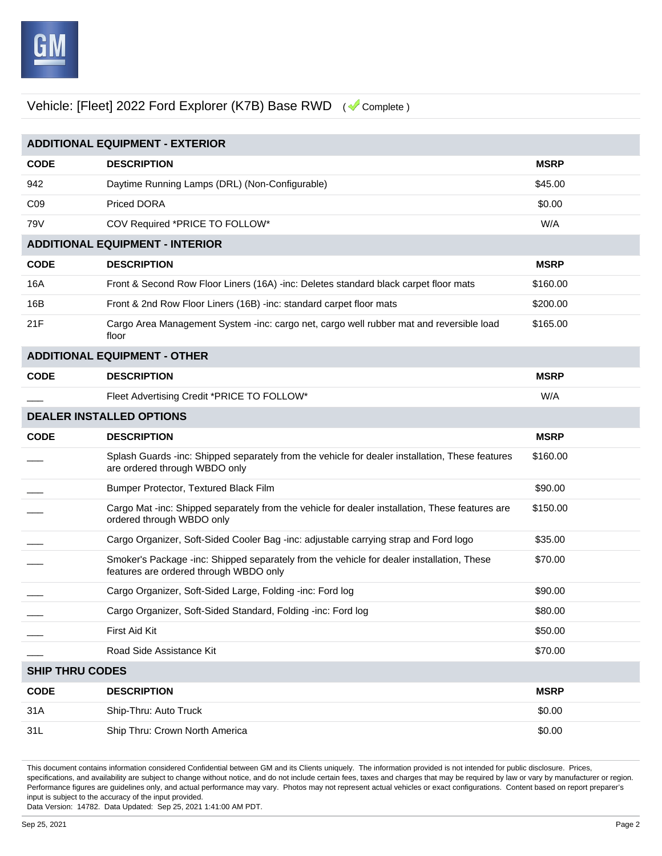

### Vehicle: [Fleet] 2022 Ford Explorer (K7B) Base RWD ( Complete )

| <b>ADDITIONAL EQUIPMENT - EXTERIOR</b> |                                                                                                                                     |             |  |  |  |
|----------------------------------------|-------------------------------------------------------------------------------------------------------------------------------------|-------------|--|--|--|
| <b>CODE</b>                            | <b>DESCRIPTION</b>                                                                                                                  | <b>MSRP</b> |  |  |  |
| 942                                    | Daytime Running Lamps (DRL) (Non-Configurable)                                                                                      | \$45.00     |  |  |  |
| CO <sub>9</sub>                        | Priced DORA                                                                                                                         | \$0.00      |  |  |  |
| 79V                                    | COV Required *PRICE TO FOLLOW*                                                                                                      | W/A         |  |  |  |
| <b>ADDITIONAL EQUIPMENT - INTERIOR</b> |                                                                                                                                     |             |  |  |  |
| <b>CODE</b>                            | <b>DESCRIPTION</b>                                                                                                                  | <b>MSRP</b> |  |  |  |
| 16A                                    | Front & Second Row Floor Liners (16A) -inc: Deletes standard black carpet floor mats                                                | \$160.00    |  |  |  |
| 16B                                    | Front & 2nd Row Floor Liners (16B) -inc: standard carpet floor mats                                                                 | \$200.00    |  |  |  |
| 21F                                    | Cargo Area Management System -inc: cargo net, cargo well rubber mat and reversible load<br>floor                                    | \$165.00    |  |  |  |
|                                        | <b>ADDITIONAL EQUIPMENT - OTHER</b>                                                                                                 |             |  |  |  |
| <b>CODE</b>                            | <b>DESCRIPTION</b>                                                                                                                  | <b>MSRP</b> |  |  |  |
|                                        | Fleet Advertising Credit *PRICE TO FOLLOW*                                                                                          | W/A         |  |  |  |
| <b>DEALER INSTALLED OPTIONS</b>        |                                                                                                                                     |             |  |  |  |
| <b>CODE</b>                            | <b>DESCRIPTION</b>                                                                                                                  | <b>MSRP</b> |  |  |  |
|                                        | Splash Guards -inc: Shipped separately from the vehicle for dealer installation, These features<br>are ordered through WBDO only    | \$160.00    |  |  |  |
|                                        | Bumper Protector, Textured Black Film                                                                                               | \$90.00     |  |  |  |
|                                        | Cargo Mat -inc: Shipped separately from the vehicle for dealer installation, These features are<br>ordered through WBDO only        | \$150.00    |  |  |  |
|                                        | Cargo Organizer, Soft-Sided Cooler Bag -inc: adjustable carrying strap and Ford logo                                                | \$35.00     |  |  |  |
|                                        | Smoker's Package -inc: Shipped separately from the vehicle for dealer installation, These<br>features are ordered through WBDO only | \$70.00     |  |  |  |
|                                        | Cargo Organizer, Soft-Sided Large, Folding -inc: Ford log                                                                           | \$90.00     |  |  |  |
|                                        | Cargo Organizer, Soft-Sided Standard, Folding -inc: Ford log                                                                        | \$80.00     |  |  |  |
|                                        | First Aid Kit                                                                                                                       | \$50.00     |  |  |  |
|                                        | Road Side Assistance Kit                                                                                                            | \$70.00     |  |  |  |
| <b>SHIP THRU CODES</b>                 |                                                                                                                                     |             |  |  |  |
| <b>CODE</b>                            | <b>DESCRIPTION</b>                                                                                                                  | <b>MSRP</b> |  |  |  |
| 31A                                    | Ship-Thru: Auto Truck                                                                                                               | \$0.00      |  |  |  |
| 31L                                    | Ship Thru: Crown North America                                                                                                      | \$0.00      |  |  |  |

This document contains information considered Confidential between GM and its Clients uniquely. The information provided is not intended for public disclosure. Prices, specifications, and availability are subject to change without notice, and do not include certain fees, taxes and charges that may be required by law or vary by manufacturer or region. Performance figures are guidelines only, and actual performance may vary. Photos may not represent actual vehicles or exact configurations. Content based on report preparer's input is subject to the accuracy of the input provided.

Data Version: 14782. Data Updated: Sep 25, 2021 1:41:00 AM PDT.